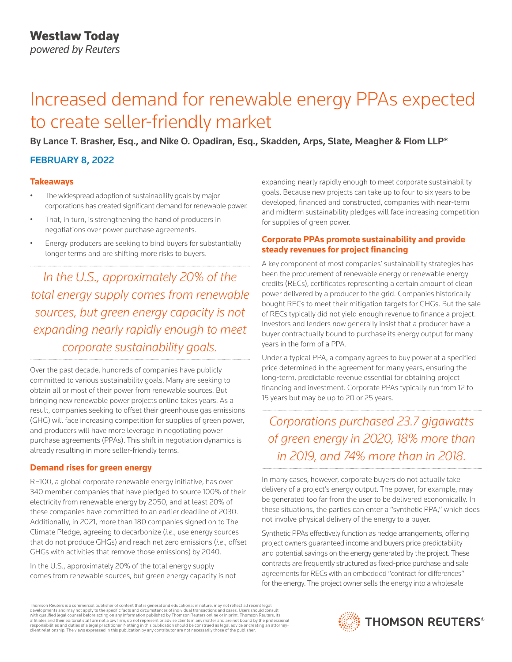# Increased demand for renewable energy PPAs expected to create seller-friendly market

By Lance T. Brasher, Esq., and Nike O. Opadiran, Esq., Skadden, Arps, Slate, Meagher & Flom LLP\*

## FEBRUARY 8, 2022

## **Takeaways**

- The widespread adoption of sustainability goals by major corporations has created significant demand for renewable power.
- That, in turn, is strengthening the hand of producers in negotiations over power purchase agreements.
- Energy producers are seeking to bind buyers for substantially longer terms and are shifting more risks to buyers.

*In the U.S., approximately 20% of the total energy supply comes from renewable sources, but green energy capacity is not expanding nearly rapidly enough to meet corporate sustainability goals.*

Over the past decade, hundreds of companies have publicly committed to various sustainability goals. Many are seeking to obtain all or most of their power from renewable sources. But bringing new renewable power projects online takes years. As a result, companies seeking to offset their greenhouse gas emissions (GHG) will face increasing competition for supplies of green power, and producers will have more leverage in negotiating power purchase agreements (PPAs). This shift in negotiation dynamics is already resulting in more seller-friendly terms.

## **Demand rises for green energy**

RE100, a global corporate renewable energy initiative, has over 340 member companies that have pledged to source 100% of their electricity from renewable energy by 2050, and at least 20% of these companies have committed to an earlier deadline of 2030. Additionally, in 2021, more than 180 companies signed on to The Climate Pledge, agreeing to decarbonize (*i.e*., use energy sources that do not produce GHGs) and reach net zero emissions (*i.e*., offset GHGs with activities that remove those emissions) by 2040.

In the U.S., approximately 20% of the total energy supply comes from renewable sources, but green energy capacity is not expanding nearly rapidly enough to meet corporate sustainability goals. Because new projects can take up to four to six years to be developed, financed and constructed, companies with near-term and midterm sustainability pledges will face increasing competition for supplies of green power.

#### **Corporate PPAs promote sustainability and provide steady revenues for project financing**

A key component of most companies' sustainability strategies has been the procurement of renewable energy or renewable energy credits (RECs), certificates representing a certain amount of clean power delivered by a producer to the grid. Companies historically bought RECs to meet their mitigation targets for GHGs. But the sale of RECs typically did not yield enough revenue to finance a project. Investors and lenders now generally insist that a producer have a buyer contractually bound to purchase its energy output for many years in the form of a PPA.

Under a typical PPA, a company agrees to buy power at a specified price determined in the agreement for many years, ensuring the long-term, predictable revenue essential for obtaining project financing and investment. Corporate PPAs typically run from 12 to 15 years but may be up to 20 or 25 years.

*Corporations purchased 23.7 gigawatts of green energy in 2020, 18% more than in 2019, and 74% more than in 2018.*

In many cases, however, corporate buyers do not actually take delivery of a project's energy output. The power, for example, may be generated too far from the user to be delivered economically. In these situations, the parties can enter a "synthetic PPA," which does not involve physical delivery of the energy to a buyer.

Synthetic PPAs effectively function as hedge arrangements, offering project owners guaranteed income and buyers price predictability and potential savings on the energy generated by the project. These contracts are frequently structured as fixed-price purchase and sale agreements for RECs with an embedded "contract for differences" for the energy. The project owner sells the energy into a wholesale

Thomson Reuters is a commercial publisher of content that is general and educational in nature, may not reflect all recent legal developments and may not apply to the specific facts and circumstances of individual transactions and cases. Users should consult<br>with qualified legal counsel before acting on any information published by Thomson Reuters o responsibilities and duties of a legal practitioner. Nothing in this publication should be construed as legal advice or creating an attorneyclient relationship. The views expressed in this publication by any contributor are not necessarily those of the publisher.